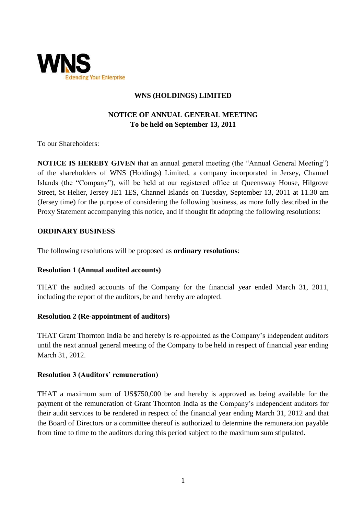

## **WNS (HOLDINGS) LIMITED**

# **NOTICE OF ANNUAL GENERAL MEETING To be held on September 13, 2011**

To our Shareholders:

**NOTICE IS HEREBY GIVEN** that an annual general meeting (the "Annual General Meeting") of the shareholders of WNS (Holdings) Limited, a company incorporated in Jersey, Channel Islands (the "Company"), will be held at our registered office at Queensway House, Hilgrove Street, St Helier, Jersey JE1 1ES, Channel Islands on Tuesday, September 13, 2011 at 11.30 am (Jersey time) for the purpose of considering the following business, as more fully described in the Proxy Statement accompanying this notice, and if thought fit adopting the following resolutions:

## **ORDINARY BUSINESS**

The following resolutions will be proposed as **ordinary resolutions**:

### **Resolution 1 (Annual audited accounts)**

THAT the audited accounts of the Company for the financial year ended March 31, 2011, including the report of the auditors, be and hereby are adopted.

### **Resolution 2 (Re-appointment of auditors)**

THAT Grant Thornton India be and hereby is re-appointed as the Company's independent auditors until the next annual general meeting of the Company to be held in respect of financial year ending March 31, 2012.

### **Resolution 3 (Auditors' remuneration)**

THAT a maximum sum of US\$750,000 be and hereby is approved as being available for the payment of the remuneration of Grant Thornton India as the Company's independent auditors for their audit services to be rendered in respect of the financial year ending March 31, 2012 and that the Board of Directors or a committee thereof is authorized to determine the remuneration payable from time to time to the auditors during this period subject to the maximum sum stipulated.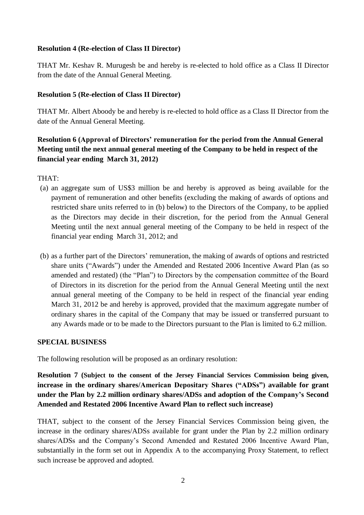### **Resolution 4 (Re-election of Class II Director)**

THAT Mr. Keshav R. Murugesh be and hereby is re-elected to hold office as a Class II Director from the date of the Annual General Meeting.

## **Resolution 5 (Re-election of Class II Director)**

THAT Mr. Albert Aboody be and hereby is re-elected to hold office as a Class II Director from the date of the Annual General Meeting.

# **Resolution 6 (Approval of Directors' remuneration for the period from the Annual General Meeting until the next annual general meeting of the Company to be held in respect of the financial year ending March 31, 2012)**

THAT:

- (a) an aggregate sum of US\$3 million be and hereby is approved as being available for the payment of remuneration and other benefits (excluding the making of awards of options and restricted share units referred to in (b) below) to the Directors of the Company, to be applied as the Directors may decide in their discretion, for the period from the Annual General Meeting until the next annual general meeting of the Company to be held in respect of the financial year ending March 31, 2012; and
- (b) as a further part of the Directors' remuneration, the making of awards of options and restricted share units ("Awards") under the Amended and Restated 2006 Incentive Award Plan (as so amended and restated) (the "Plan") to Directors by the compensation committee of the Board of Directors in its discretion for the period from the Annual General Meeting until the next annual general meeting of the Company to be held in respect of the financial year ending March 31, 2012 be and hereby is approved, provided that the maximum aggregate number of ordinary shares in the capital of the Company that may be issued or transferred pursuant to any Awards made or to be made to the Directors pursuant to the Plan is limited to 6.2 million.

### **SPECIAL BUSINESS**

The following resolution will be proposed as an ordinary resolution:

**Resolution 7 (Subject to the consent of the Jersey Financial Services Commission being given, increase in the ordinary shares/American Depositary Shares ("ADSs") available for grant under the Plan by 2.2 million ordinary shares/ADSs and adoption of the Company's Second Amended and Restated 2006 Incentive Award Plan to reflect such increase)**

THAT, subject to the consent of the Jersey Financial Services Commission being given, the increase in the ordinary shares/ADSs available for grant under the Plan by 2.2 million ordinary shares/ADSs and the Company's Second Amended and Restated 2006 Incentive Award Plan, substantially in the form set out in Appendix A to the accompanying Proxy Statement, to reflect such increase be approved and adopted.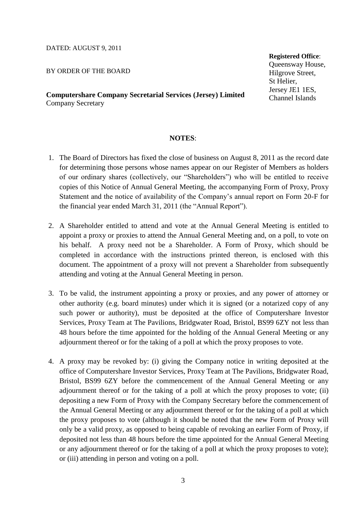#### DATED: AUGUST 9, 2011

BY ORDER OF THE BOARD

**Computershare Company Secretarial Services (Jersey) Limited** Company Secretary

### **Registered Office**: Queensway House, Hilgrove Street, St Helier, Jersey JE1 1ES,

Channel Islands

#### **NOTES**:

- 1. The Board of Directors has fixed the close of business on August 8, 2011 as the record date for determining those persons whose names appear on our Register of Members as holders of our ordinary shares (collectively, our "Shareholders") who will be entitled to receive copies of this Notice of Annual General Meeting, the accompanying Form of Proxy, Proxy Statement and the notice of availability of the Company's annual report on Form 20-F for the financial year ended March 31, 2011 (the "Annual Report").
- 2. A Shareholder entitled to attend and vote at the Annual General Meeting is entitled to appoint a proxy or proxies to attend the Annual General Meeting and, on a poll, to vote on his behalf. A proxy need not be a Shareholder. A Form of Proxy, which should be completed in accordance with the instructions printed thereon, is enclosed with this document. The appointment of a proxy will not prevent a Shareholder from subsequently attending and voting at the Annual General Meeting in person.
- 3. To be valid, the instrument appointing a proxy or proxies, and any power of attorney or other authority (e.g. board minutes) under which it is signed (or a notarized copy of any such power or authority), must be deposited at the office of Computershare Investor Services, Proxy Team at The Pavilions, Bridgwater Road, Bristol, BS99 6ZY not less than 48 hours before the time appointed for the holding of the Annual General Meeting or any adjournment thereof or for the taking of a poll at which the proxy proposes to vote.
- 4. A proxy may be revoked by: (i) giving the Company notice in writing deposited at the office of Computershare Investor Services, Proxy Team at The Pavilions, Bridgwater Road, Bristol, BS99 6ZY before the commencement of the Annual General Meeting or any adjournment thereof or for the taking of a poll at which the proxy proposes to vote; (ii) depositing a new Form of Proxy with the Company Secretary before the commencement of the Annual General Meeting or any adjournment thereof or for the taking of a poll at which the proxy proposes to vote (although it should be noted that the new Form of Proxy will only be a valid proxy, as opposed to being capable of revoking an earlier Form of Proxy, if deposited not less than 48 hours before the time appointed for the Annual General Meeting or any adjournment thereof or for the taking of a poll at which the proxy proposes to vote); or (iii) attending in person and voting on a poll.